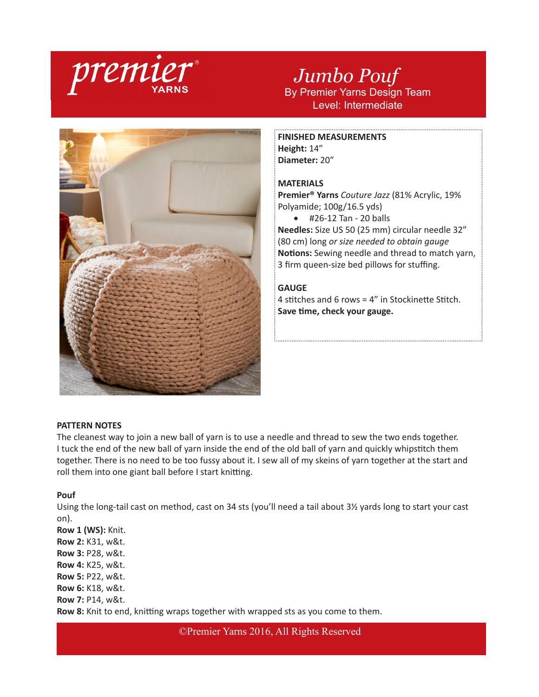

# *Jumbo Pouf* By Premier Yarns Design Team Level: Intermediate



**FINISHED MEASUREMENTS Height:** 14" **Diameter:** 20"

# **MATERIALS**

**Premier® Yarns** *Couture Jazz* (81% Acrylic, 19% Polyamide; 100g/16.5 yds)

• #26-12 Tan - 20 balls

**Needles:** Size US 50 (25 mm) circular needle 32" (80 cm) long *or size needed to obtain gauge* **Notions:** Sewing needle and thread to match yarn, 3 firm queen-size bed pillows for stuffing.

# **GAUGE**

4 stitches and 6 rows = 4" in Stockinette Stitch. **Save time, check your gauge.**

## **PATTERN NOTES**

The cleanest way to join a new ball of yarn is to use a needle and thread to sew the two ends together. I tuck the end of the new ball of yarn inside the end of the old ball of yarn and quickly whipstitch them together. There is no need to be too fussy about it. I sew all of my skeins of yarn together at the start and roll them into one giant ball before I start knitting.

#### **Pouf**

Using the long-tail cast on method, cast on 34 sts (you'll need a tail about 3½ yards long to start your cast on).

**Row 1 (WS):** Knit. **Row 2:** K31, w&t. **Row 3:** P28, w&t. **Row 4:** K25, w&t. **Row 5:** P22, w&t. **Row 6:** K18, w&t. **Row 7:** P14, w&t. **Row 8:** Knit to end, knitting wraps together with wrapped sts as you come to them.

©Premier Yarns 2016, All Rights Reserved